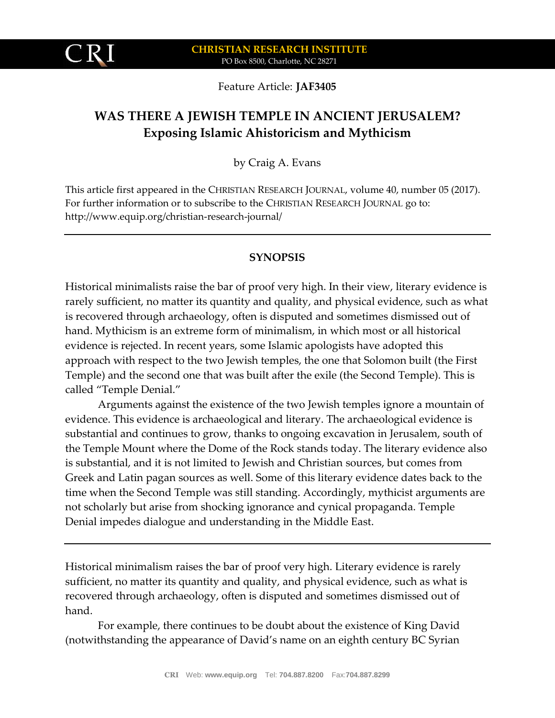Feature Article: **JAF3405**

# **WAS THERE A JEWISH TEMPLE IN ANCIENT JERUSALEM? Exposing Islamic Ahistoricism and Mythicism**

by Craig A. Evans

This article first appeared in the CHRISTIAN RESEARCH JOURNAL, volume 40, number 05 (2017). For further information or to subscribe to the CHRISTIAN RESEARCH JOURNAL go to: http://www.equip.org/christian-research-journal/

# **SYNOPSIS**

Historical minimalists raise the bar of proof very high. In their view, literary evidence is rarely sufficient, no matter its quantity and quality, and physical evidence, such as what is recovered through archaeology, often is disputed and sometimes dismissed out of hand. Mythicism is an extreme form of minimalism, in which most or all historical evidence is rejected. In recent years, some Islamic apologists have adopted this approach with respect to the two Jewish temples, the one that Solomon built (the First Temple) and the second one that was built after the exile (the Second Temple). This is called "Temple Denial."

Arguments against the existence of the two Jewish temples ignore a mountain of evidence. This evidence is archaeological and literary. The archaeological evidence is substantial and continues to grow, thanks to ongoing excavation in Jerusalem, south of the Temple Mount where the Dome of the Rock stands today. The literary evidence also is substantial, and it is not limited to Jewish and Christian sources, but comes from Greek and Latin pagan sources as well. Some of this literary evidence dates back to the time when the Second Temple was still standing. Accordingly, mythicist arguments are not scholarly but arise from shocking ignorance and cynical propaganda. Temple Denial impedes dialogue and understanding in the Middle East.

Historical minimalism raises the bar of proof very high. Literary evidence is rarely sufficient, no matter its quantity and quality, and physical evidence, such as what is recovered through archaeology, often is disputed and sometimes dismissed out of hand.

For example, there continues to be doubt about the existence of King David (notwithstanding the appearance of David's name on an eighth century BC Syrian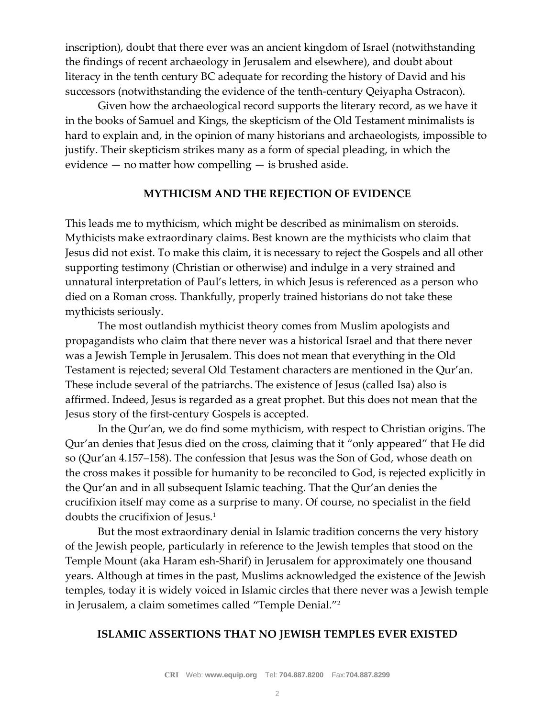inscription), doubt that there ever was an ancient kingdom of Israel (notwithstanding the findings of recent archaeology in Jerusalem and elsewhere), and doubt about literacy in the tenth century BC adequate for recording the history of David and his successors (notwithstanding the evidence of the tenth-century Qeiyapha Ostracon).

Given how the archaeological record supports the literary record, as we have it in the books of Samuel and Kings, the skepticism of the Old Testament minimalists is hard to explain and, in the opinion of many historians and archaeologists, impossible to justify. Their skepticism strikes many as a form of special pleading, in which the evidence — no matter how compelling — is brushed aside.

#### **MYTHICISM AND THE REJECTION OF EVIDENCE**

This leads me to mythicism, which might be described as minimalism on steroids. Mythicists make extraordinary claims. Best known are the mythicists who claim that Jesus did not exist. To make this claim, it is necessary to reject the Gospels and all other supporting testimony (Christian or otherwise) and indulge in a very strained and unnatural interpretation of Paul's letters, in which Jesus is referenced as a person who died on a Roman cross. Thankfully, properly trained historians do not take these mythicists seriously.

The most outlandish mythicist theory comes from Muslim apologists and propagandists who claim that there never was a historical Israel and that there never was a Jewish Temple in Jerusalem. This does not mean that everything in the Old Testament is rejected; several Old Testament characters are mentioned in the Qur'an. These include several of the patriarchs. The existence of Jesus (called Isa) also is affirmed. Indeed, Jesus is regarded as a great prophet. But this does not mean that the Jesus story of the first-century Gospels is accepted.

In the Qur'an, we do find some mythicism, with respect to Christian origins. The Qur'an denies that Jesus died on the cross, claiming that it "only appeared" that He did so (Qur'an 4.157–158). The confession that Jesus was the Son of God, whose death on the cross makes it possible for humanity to be reconciled to God, is rejected explicitly in the Qur'an and in all subsequent Islamic teaching. That the Qur'an denies the crucifixion itself may come as a surprise to many. Of course, no specialist in the field doubts the crucifixion of Jesus.<sup>1</sup>

But the most extraordinary denial in Islamic tradition concerns the very history of the Jewish people, particularly in reference to the Jewish temples that stood on the Temple Mount (aka Haram esh-Sharif) in Jerusalem for approximately one thousand years. Although at times in the past, Muslims acknowledged the existence of the Jewish temples, today it is widely voiced in Islamic circles that there never was a Jewish temple in Jerusalem, a claim sometimes called "Temple Denial."<sup>2</sup>

### **ISLAMIC ASSERTIONS THAT NO JEWISH TEMPLES EVER EXISTED**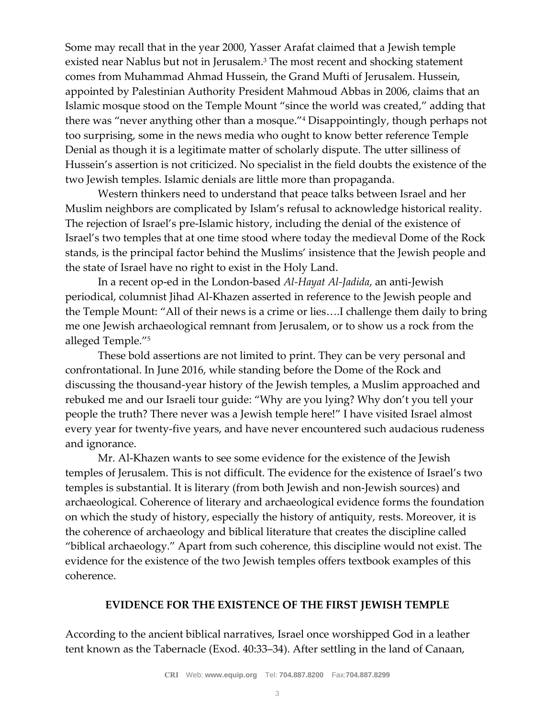Some may recall that in the year 2000, Yasser Arafat claimed that a Jewish temple existed near Nablus but not in Jerusalem.<sup>3</sup> The most recent and shocking statement comes from Muhammad Ahmad Hussein, the Grand Mufti of Jerusalem. Hussein, appointed by Palestinian Authority President Mahmoud Abbas in 2006, claims that an Islamic mosque stood on the Temple Mount "since the world was created," adding that there was "never anything other than a mosque."<sup>4</sup> Disappointingly, though perhaps not too surprising, some in the news media who ought to know better reference Temple Denial as though it is a legitimate matter of scholarly dispute. The utter silliness of Hussein's assertion is not criticized. No specialist in the field doubts the existence of the two Jewish temples. Islamic denials are little more than propaganda.

Western thinkers need to understand that peace talks between Israel and her Muslim neighbors are complicated by Islam's refusal to acknowledge historical reality. The rejection of Israel's pre-Islamic history, including the denial of the existence of Israel's two temples that at one time stood where today the medieval Dome of the Rock stands, is the principal factor behind the Muslims' insistence that the Jewish people and the state of Israel have no right to exist in the Holy Land.

In a recent op-ed in the London-based *Al-Hayat Al-Jadida*, an anti-Jewish periodical, columnist Jihad Al-Khazen asserted in reference to the Jewish people and the Temple Mount: "All of their news is a crime or lies….I challenge them daily to bring me one Jewish archaeological remnant from Jerusalem, or to show us a rock from the alleged Temple."<sup>5</sup>

These bold assertions are not limited to print. They can be very personal and confrontational. In June 2016, while standing before the Dome of the Rock and discussing the thousand-year history of the Jewish temples, a Muslim approached and rebuked me and our Israeli tour guide: "Why are you lying? Why don't you tell your people the truth? There never was a Jewish temple here!" I have visited Israel almost every year for twenty-five years, and have never encountered such audacious rudeness and ignorance.

Mr. Al-Khazen wants to see some evidence for the existence of the Jewish temples of Jerusalem. This is not difficult. The evidence for the existence of Israel's two temples is substantial. It is literary (from both Jewish and non-Jewish sources) and archaeological. Coherence of literary and archaeological evidence forms the foundation on which the study of history, especially the history of antiquity, rests. Moreover, it is the coherence of archaeology and biblical literature that creates the discipline called "biblical archaeology." Apart from such coherence, this discipline would not exist. The evidence for the existence of the two Jewish temples offers textbook examples of this coherence.

## **EVIDENCE FOR THE EXISTENCE OF THE FIRST JEWISH TEMPLE**

According to the ancient biblical narratives, Israel once worshipped God in a leather tent known as the Tabernacle (Exod. 40:33–34). After settling in the land of Canaan,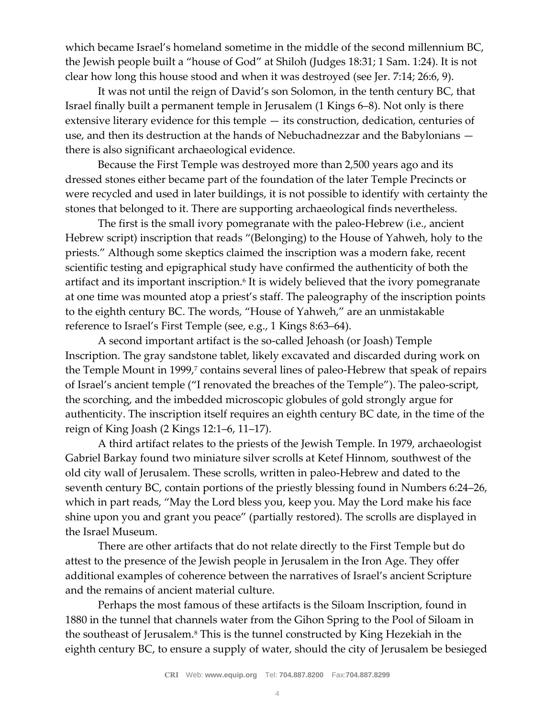which became Israel's homeland sometime in the middle of the second millennium BC, the Jewish people built a "house of God" at Shiloh (Judges 18:31; 1 Sam. 1:24). It is not clear how long this house stood and when it was destroyed (see Jer. 7:14; 26:6, 9).

It was not until the reign of David's son Solomon, in the tenth century BC, that Israel finally built a permanent temple in Jerusalem (1 Kings 6–8). Not only is there extensive literary evidence for this temple — its construction, dedication, centuries of use, and then its destruction at the hands of Nebuchadnezzar and the Babylonians there is also significant archaeological evidence.

Because the First Temple was destroyed more than 2,500 years ago and its dressed stones either became part of the foundation of the later Temple Precincts or were recycled and used in later buildings, it is not possible to identify with certainty the stones that belonged to it. There are supporting archaeological finds nevertheless.

The first is the small ivory pomegranate with the paleo-Hebrew (i.e., ancient Hebrew script) inscription that reads "(Belonging) to the House of Yahweh, holy to the priests." Although some skeptics claimed the inscription was a modern fake, recent scientific testing and epigraphical study have confirmed the authenticity of both the artifact and its important inscription.<sup>6</sup> It is widely believed that the ivory pomegranate at one time was mounted atop a priest's staff. The paleography of the inscription points to the eighth century BC. The words, "House of Yahweh," are an unmistakable reference to Israel's First Temple (see, e.g., 1 Kings 8:63–64).

A second important artifact is the so-called Jehoash (or Joash) Temple Inscription. The gray sandstone tablet, likely excavated and discarded during work on the Temple Mount in 1999,<sup>7</sup> contains several lines of paleo-Hebrew that speak of repairs of Israel's ancient temple ("I renovated the breaches of the Temple"). The paleo-script, the scorching, and the imbedded microscopic globules of gold strongly argue for authenticity. The inscription itself requires an eighth century BC date, in the time of the reign of King Joash (2 Kings 12:1–6, 11–17).

A third artifact relates to the priests of the Jewish Temple. In 1979, archaeologist Gabriel Barkay found two miniature silver scrolls at Ketef Hinnom, southwest of the old city wall of Jerusalem. These scrolls, written in paleo-Hebrew and dated to the seventh century BC, contain portions of the priestly blessing found in Numbers 6:24–26, which in part reads, "May the Lord bless you, keep you. May the Lord make his face shine upon you and grant you peace" (partially restored). The scrolls are displayed in the Israel Museum.

There are other artifacts that do not relate directly to the First Temple but do attest to the presence of the Jewish people in Jerusalem in the Iron Age. They offer additional examples of coherence between the narratives of Israel's ancient Scripture and the remains of ancient material culture.

Perhaps the most famous of these artifacts is the Siloam Inscription, found in 1880 in the tunnel that channels water from the Gihon Spring to the Pool of Siloam in the southeast of Jerusalem.<sup>8</sup> This is the tunnel constructed by King Hezekiah in the eighth century BC, to ensure a supply of water, should the city of Jerusalem be besieged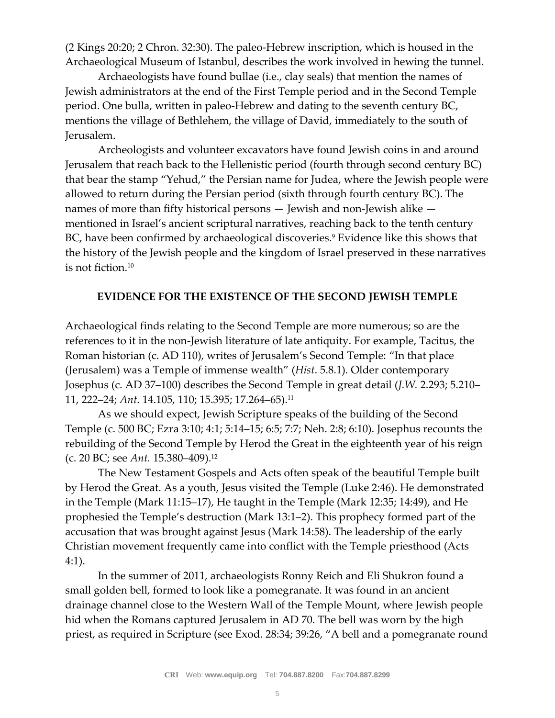(2 Kings 20:20; 2 Chron. 32:30). The paleo-Hebrew inscription, which is housed in the Archaeological Museum of Istanbul, describes the work involved in hewing the tunnel.

Archaeologists have found bullae (i.e., clay seals) that mention the names of Jewish administrators at the end of the First Temple period and in the Second Temple period. One bulla, written in paleo-Hebrew and dating to the seventh century BC, mentions the village of Bethlehem, the village of David, immediately to the south of Jerusalem.

Archeologists and volunteer excavators have found Jewish coins in and around Jerusalem that reach back to the Hellenistic period (fourth through second century BC) that bear the stamp "Yehud," the Persian name for Judea, where the Jewish people were allowed to return during the Persian period (sixth through fourth century BC). The names of more than fifty historical persons — Jewish and non-Jewish alike mentioned in Israel's ancient scriptural narratives, reaching back to the tenth century BC, have been confirmed by archaeological discoveries.<sup>9</sup> Evidence like this shows that the history of the Jewish people and the kingdom of Israel preserved in these narratives is not fiction.<sup>10</sup>

## **EVIDENCE FOR THE EXISTENCE OF THE SECOND JEWISH TEMPLE**

Archaeological finds relating to the Second Temple are more numerous; so are the references to it in the non-Jewish literature of late antiquity. For example, Tacitus, the Roman historian (c. AD 110), writes of Jerusalem's Second Temple: "In that place (Jerusalem) was a Temple of immense wealth" (*Hist*. 5.8.1). Older contemporary Josephus (c. AD 37–100) describes the Second Temple in great detail (*J.W.* 2.293; 5.210– 11, 222–24; *Ant.* 14.105, 110; 15.395; 17.264–65).<sup>11</sup>

As we should expect, Jewish Scripture speaks of the building of the Second Temple (c. 500 BC; Ezra 3:10; 4:1; 5:14–15; 6:5; 7:7; Neh. 2:8; 6:10). Josephus recounts the rebuilding of the Second Temple by Herod the Great in the eighteenth year of his reign (c. 20 BC; see *Ant.* 15.380–409).<sup>12</sup>

The New Testament Gospels and Acts often speak of the beautiful Temple built by Herod the Great. As a youth, Jesus visited the Temple (Luke 2:46). He demonstrated in the Temple (Mark 11:15–17), He taught in the Temple (Mark 12:35; 14:49), and He prophesied the Temple's destruction (Mark 13:1–2). This prophecy formed part of the accusation that was brought against Jesus (Mark 14:58). The leadership of the early Christian movement frequently came into conflict with the Temple priesthood (Acts 4:1).

In the summer of 2011, archaeologists Ronny Reich and Eli Shukron found a small golden bell, formed to look like a pomegranate. It was found in an ancient drainage channel close to the Western Wall of the Temple Mount, where Jewish people hid when the Romans captured Jerusalem in AD 70. The bell was worn by the high priest, as required in Scripture (see Exod. 28:34; 39:26, "A bell and a pomegranate round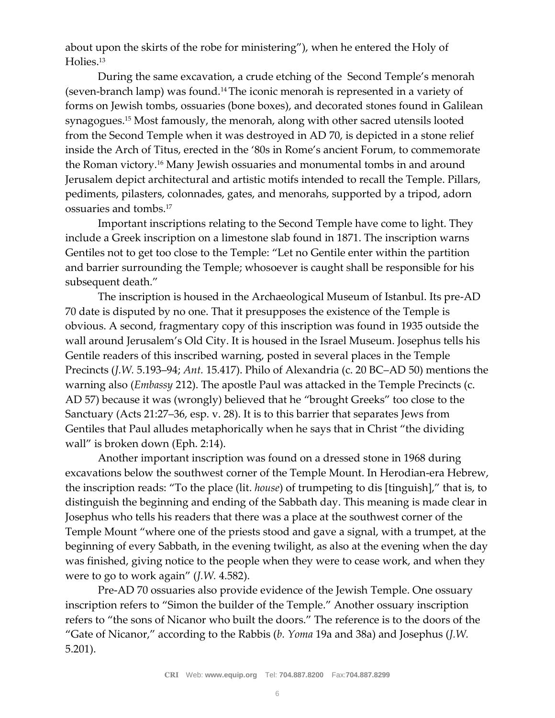about upon the skirts of the robe for ministering"), when he entered the Holy of Holies.<sup>13</sup>

During the same excavation, a crude etching of the Second Temple's menorah (seven-branch lamp) was found.14The iconic menorah is represented in a variety of forms on Jewish tombs, ossuaries (bone boxes), and decorated stones found in Galilean synagogues.<sup>15</sup> Most famously, the menorah, along with other sacred utensils looted from the Second Temple when it was destroyed in AD 70, is depicted in a stone relief inside the Arch of Titus, erected in the '80s in Rome's ancient Forum, to commemorate the Roman victory.<sup>16</sup> Many Jewish ossuaries and monumental tombs in and around Jerusalem depict architectural and artistic motifs intended to recall the Temple. Pillars, pediments, pilasters, colonnades, gates, and menorahs, supported by a tripod, adorn ossuaries and tombs.<sup>17</sup>

Important inscriptions relating to the Second Temple have come to light. They include a Greek inscription on a limestone slab found in 1871. The inscription warns Gentiles not to get too close to the Temple: "Let no Gentile enter within the partition and barrier surrounding the Temple; whosoever is caught shall be responsible for his subsequent death."

The inscription is housed in the Archaeological Museum of Istanbul. Its pre-AD 70 date is disputed by no one. That it presupposes the existence of the Temple is obvious. A second, fragmentary copy of this inscription was found in 1935 outside the wall around Jerusalem's Old City. It is housed in the Israel Museum. Josephus tells his Gentile readers of this inscribed warning, posted in several places in the Temple Precincts (*J.W.* 5.193–94; *Ant.* 15.417). Philo of Alexandria (c. 20 BC–AD 50) mentions the warning also (*Embassy* 212). The apostle Paul was attacked in the Temple Precincts (c. AD 57) because it was (wrongly) believed that he "brought Greeks" too close to the Sanctuary (Acts 21:27–36, esp. v. 28). It is to this barrier that separates Jews from Gentiles that Paul alludes metaphorically when he says that in Christ "the dividing wall" is broken down (Eph. 2:14).

Another important inscription was found on a dressed stone in 1968 during excavations below the southwest corner of the Temple Mount. In Herodian-era Hebrew, the inscription reads: "To the place (lit. *house*) of trumpeting to dis [tinguish]," that is, to distinguish the beginning and ending of the Sabbath day. This meaning is made clear in Josephus who tells his readers that there was a place at the southwest corner of the Temple Mount "where one of the priests stood and gave a signal, with a trumpet, at the beginning of every Sabbath, in the evening twilight, as also at the evening when the day was finished, giving notice to the people when they were to cease work, and when they were to go to work again" (*J.W.* 4.582).

Pre-AD 70 ossuaries also provide evidence of the Jewish Temple. One ossuary inscription refers to "Simon the builder of the Temple." Another ossuary inscription refers to "the sons of Nicanor who built the doors." The reference is to the doors of the "Gate of Nicanor," according to the Rabbis (*b. Yoma* 19a and 38a) and Josephus (*J.W.*  5.201).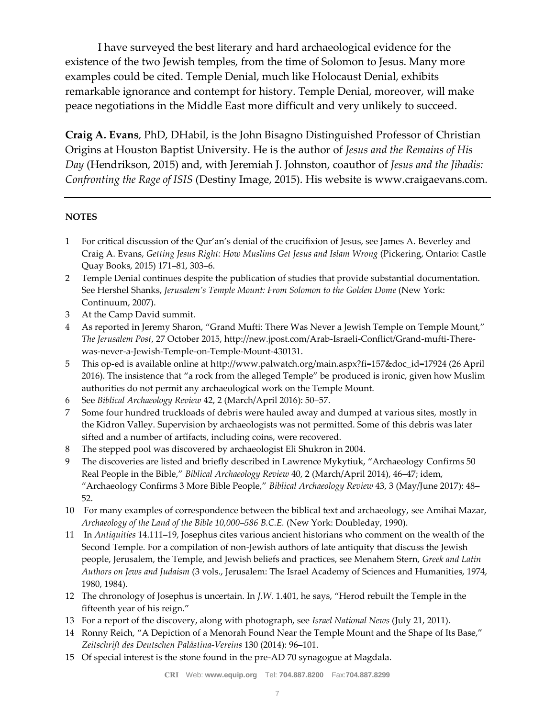I have surveyed the best literary and hard archaeological evidence for the existence of the two Jewish temples, from the time of Solomon to Jesus. Many more examples could be cited. Temple Denial, much like Holocaust Denial, exhibits remarkable ignorance and contempt for history. Temple Denial, moreover, will make peace negotiations in the Middle East more difficult and very unlikely to succeed.

**Craig A. Evans**, PhD, DHabil, is the John Bisagno Distinguished Professor of Christian Origins at Houston Baptist University. He is the author of *Jesus and the Remains of His Day* (Hendrikson, 2015) and, with Jeremiah J. Johnston, coauthor of *Jesus and the Jihadis: Confronting the Rage of ISIS* (Destiny Image, 2015). His website is www.craigaevans.com.

#### **NOTES**

- 1 For critical discussion of the Qur'an's denial of the crucifixion of Jesus, see James A. Beverley and Craig A. Evans, *Getting Jesus Right: How Muslims Get Jesus and Islam Wrong* (Pickering, Ontario: Castle Quay Books, 2015) 171–81, 303–6.
- 2 Temple Denial continues despite the publication of studies that provide substantial documentation. See Hershel Shanks, *Jerusalem's Temple Mount: From Solomon to the Golden Dome* (New York: Continuum, 2007).
- 3 At the Camp David summit.
- 4 As reported in Jeremy Sharon, "Grand Mufti: There Was Never a Jewish Temple on Temple Mount," *The Jerusalem Post*, 27 October 2015, http://new.jpost.com/Arab-Israeli-Conflict/Grand-mufti-Therewas-never-a-Jewish-Temple-on-Temple-Mount-430131.
- 5 This op-ed is available online at http://www.palwatch.org/main.aspx?fi=157&doc\_id=17924 (26 April 2016). The insistence that "a rock from the alleged Temple" be produced is ironic, given how Muslim authorities do not permit any archaeological work on the Temple Mount.
- 6 See *Biblical Archaeology Review* 42, 2 (March/April 2016): 50–57.
- 7 Some four hundred truckloads of debris were hauled away and dumped at various sites, mostly in the Kidron Valley. Supervision by archaeologists was not permitted. Some of this debris was later sifted and a number of artifacts, including coins, were recovered.
- 8 The stepped pool was discovered by archaeologist Eli Shukron in 2004.
- 9 The discoveries are listed and briefly described in Lawrence Mykytiuk, "Archaeology Confirms 50 Real People in the Bible," *Biblical Archaeology Review* 40, 2 (March/April 2014), 46–47; idem, "Archaeology Confirms 3 More Bible People," *Biblical Archaeology Review* 43, 3 (May/June 2017): 48– 52.
- 10 For many examples of correspondence between the biblical text and archaeology, see Amihai Mazar, *Archaeology of the Land of the Bible 10,000–586 B.C.E.* (New York: Doubleday, 1990).
- 11 In *Antiquities* 14.111–19, Josephus cites various ancient historians who comment on the wealth of the Second Temple. For a compilation of non-Jewish authors of late antiquity that discuss the Jewish people, Jerusalem, the Temple, and Jewish beliefs and practices, see Menahem Stern, *Greek and Latin Authors on Jews and Judaism* (3 vols., Jerusalem: The Israel Academy of Sciences and Humanities, 1974, 1980, 1984).
- 12 The chronology of Josephus is uncertain. In *J.W.* 1.401, he says, "Herod rebuilt the Temple in the fifteenth year of his reign."
- 13 For a report of the discovery, along with photograph, see *Israel National News* (July 21, 2011).
- 14 Ronny Reich, "A Depiction of a Menorah Found Near the Temple Mount and the Shape of Its Base," *Zeitschrift des Deutschen Palästina-Vereins* 130 (2014): 96–101.
- 15 Of special interest is the stone found in the pre-AD 70 synagogue at Magdala.